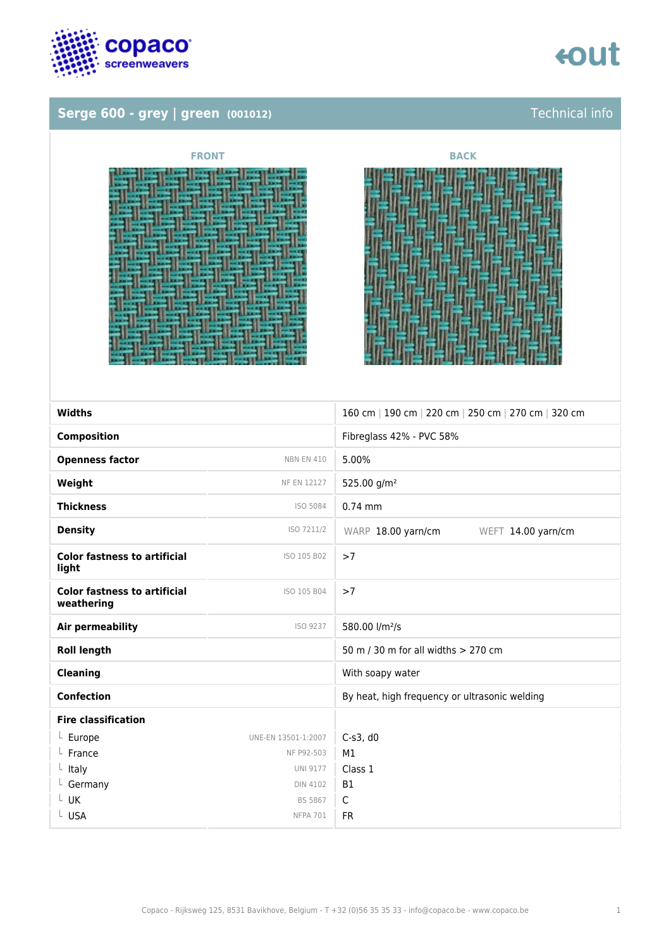

## Serge 600 - grey | green (001012) Serge 600 - Gechnical info



| <b>FRONT</b>                                  | <b>BACK</b> |
|-----------------------------------------------|-------------|
| <b>HATE</b><br>E<br><b>PORTER</b><br>---<br>E |             |
|                                               |             |



| <b>Widths</b>                                     |                     | 160 cm   190 cm   220 cm   250 cm   270 cm   320 cm |
|---------------------------------------------------|---------------------|-----------------------------------------------------|
| <b>Composition</b>                                |                     | Fibreglass 42% - PVC 58%                            |
| <b>Openness factor</b>                            | <b>NBN EN 410</b>   | 5.00%                                               |
| Weight                                            | NF EN 12127         | 525.00 g/m <sup>2</sup>                             |
| <b>Thickness</b>                                  | ISO 5084            | $0.74$ mm                                           |
| <b>Density</b>                                    | ISO 7211/2          | WARP 18.00 yarn/cm<br>WEFT 14.00 yarn/cm            |
| <b>Color fastness to artificial</b><br>light      | ISO 105 B02         | >7                                                  |
| <b>Color fastness to artificial</b><br>weathering | ISO 105 B04         | >7                                                  |
| <b>Air permeability</b>                           | ISO 9237            | 580.00 l/m <sup>2</sup> /s                          |
| <b>Roll length</b>                                |                     | 50 m / 30 m for all widths > 270 cm                 |
| <b>Cleaning</b>                                   |                     | With soapy water                                    |
| <b>Confection</b>                                 |                     | By heat, high frequency or ultrasonic welding       |
| <b>Fire classification</b>                        |                     |                                                     |
| $L$ Europe                                        | UNE-EN 13501-1:2007 | $C-s3$ , d $0$                                      |
| L France                                          | NF P92-503          | M1                                                  |
| $L$ Italy                                         | <b>UNI 9177</b>     | Class 1                                             |
| $L$ Germany                                       | <b>DIN 4102</b>     | <b>B1</b>                                           |
| Γ NK                                              | <b>BS 5867</b>      | $\mathsf{C}$                                        |
| L USA                                             | <b>NFPA 701</b>     | <b>FR</b>                                           |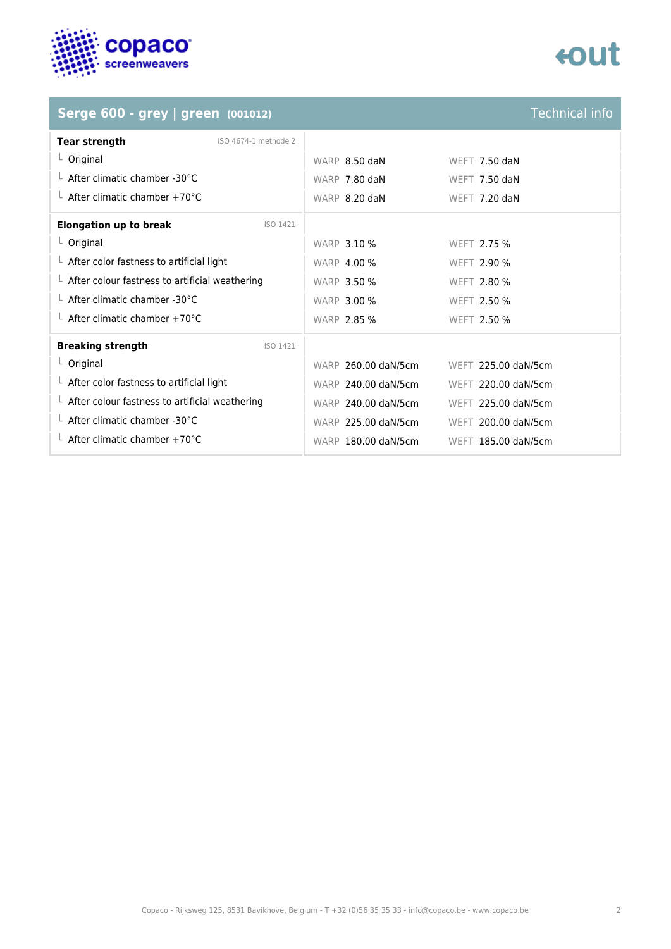

# tout

## **Serge 600 - grey | green** (001012)

| <b>Technical info</b> |  |
|-----------------------|--|
|                       |  |
|                       |  |
|                       |  |

| <b>Tear strength</b><br>ISO 4674-1 methode 2           |                     |                     |
|--------------------------------------------------------|---------------------|---------------------|
| $L$ Original                                           | WARP 8.50 daN       | WEFT 7.50 daN       |
| $\perp$ After climatic chamber -30°C                   | WARP 7.80 daN       | WEFT $7.50$ daN     |
| $\perp$ After climatic chamber +70°C                   | WARP 8.20 daN       | WEFT 7.20 daN       |
| <b>Elongation up to break</b><br>ISO 1421              |                     |                     |
| $L$ Original                                           | <b>WARP 3.10 %</b>  | WEFT 2.75 %         |
| $\perp$ After color fastness to artificial light       | <b>WARP 4.00 %</b>  | <b>WEFT 2.90 %</b>  |
| $\perp$ After colour fastness to artificial weathering | <b>WARP 3.50 %</b>  | WEFT 2.80 %         |
| $\perp$ After climatic chamber -30°C                   | <b>WARP 3.00 %</b>  | WEFT 2.50 %         |
| $\perp$ After climatic chamber +70°C                   | <b>WARP 2.85 %</b>  | WEFT 2.50 %         |
| <b>Breaking strength</b><br>ISO 1421                   |                     |                     |
| $L$ Original                                           | WARP 260.00 daN/5cm | WEFT 225.00 daN/5cm |
| $\perp$ After color fastness to artificial light       | WARP 240.00 daN/5cm | WEFT 220.00 daN/5cm |
| $\perp$ After colour fastness to artificial weathering | WARP 240.00 daN/5cm | WEFT 225.00 daN/5cm |
| $\perp$ After climatic chamber -30°C                   | WARP 225.00 daN/5cm | WEFT 200.00 daN/5cm |
| $\perp$ After climatic chamber +70°C                   | WARP 180.00 daN/5cm | WEFT 185.00 daN/5cm |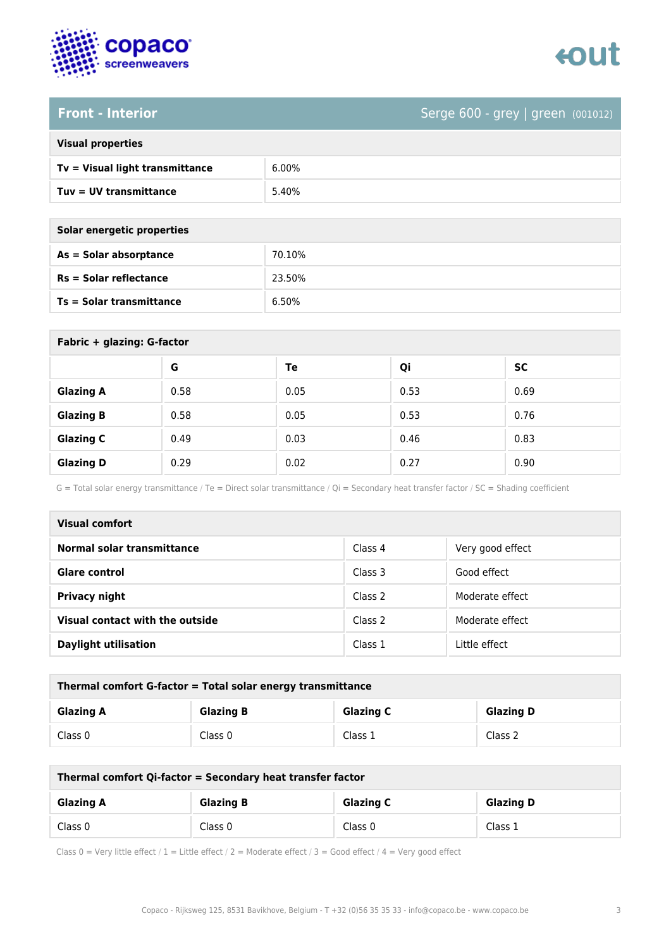



### **Front - Interior** Serge 600 - grey | green (001012)

| <b>Visual properties</b> |  |
|--------------------------|--|
|                          |  |

| Tv = Visual light transmittance | $6.00\%$ |
|---------------------------------|----------|
| Tuy = UV transmittance          | 5.40%    |

**As = Solar absorptance** 70.10%

**Rs = Solar reflectance** 23.50%

| Solar energetic properties      |        |
|---------------------------------|--------|
| $As = Solar absorption$         | 70.10% |
| $Rs = Solar$ reflectance        | 23.50% |
| <b>Ts = Solar transmittance</b> | 6.50%  |

| Fabric + glazing: G-factor |      |      |      |           |
|----------------------------|------|------|------|-----------|
|                            | G    | Te   | Qi   | <b>SC</b> |
| <b>Glazing A</b>           | 0.58 | 0.05 | 0.53 | 0.69      |
| <b>Glazing B</b>           | 0.58 | 0.05 | 0.53 | 0.76      |
| <b>Glazing C</b>           | 0.49 | 0.03 | 0.46 | 0.83      |
| <b>Glazing D</b>           | 0.29 | 0.02 | 0.27 | 0.90      |

G = Total solar energy transmittance / Te = Direct solar transmittance / Qi = Secondary heat transfer factor / SC = Shading coefficient

| Visual comfort                  |         |                  |  |
|---------------------------------|---------|------------------|--|
| Normal solar transmittance      | Class 4 | Very good effect |  |
| <b>Glare control</b>            | Class 3 | Good effect      |  |
| <b>Privacy night</b>            | Class 2 | Moderate effect  |  |
| Visual contact with the outside | Class 2 | Moderate effect  |  |
| <b>Daylight utilisation</b>     | Class 1 | Little effect    |  |

| Thermal comfort G-factor = Total solar energy transmittance |                  |                  |                  |  |
|-------------------------------------------------------------|------------------|------------------|------------------|--|
| <b>Glazing A</b>                                            | <b>Glazing B</b> | <b>Glazing C</b> | <b>Glazing D</b> |  |
| Class 0                                                     | Class 0          | Class 1          | Class 2          |  |

| Thermal comfort Qi-factor = Secondary heat transfer factor |         |                  |         |
|------------------------------------------------------------|---------|------------------|---------|
| <b>Glazing B</b><br><b>Glazing C</b><br><b>Glazing A</b>   |         | <b>Glazing D</b> |         |
| Class 0                                                    | Class 0 | Class 0          | Class 1 |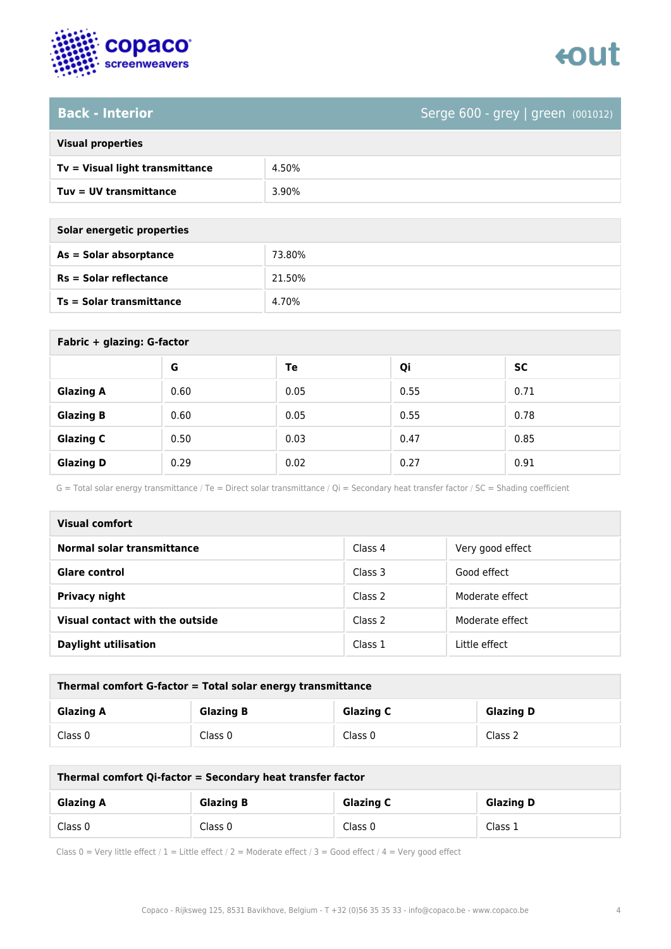

### **Back - Interior** Serge 600 - grey | green (001012)

| <b>Visual properties</b> |  |  |
|--------------------------|--|--|
|                          |  |  |

| Tv = Visual light transmittance | 4.50% |
|---------------------------------|-------|
| Tuv = UV transmittance          | 3.90% |

| Solar energetic properties      |        |  |
|---------------------------------|--------|--|
| As = Solar absorptance          | 73.80% |  |
| $Rs = Solar$ reflectance        | 21.50% |  |
| <b>Ts = Solar transmittance</b> | 4.70%  |  |

| Fabric + glazing: G-factor |      |      |      |           |  |
|----------------------------|------|------|------|-----------|--|
|                            | G    | Te   | Qi   | <b>SC</b> |  |
| <b>Glazing A</b>           | 0.60 | 0.05 | 0.55 | 0.71      |  |
| <b>Glazing B</b>           | 0.60 | 0.05 | 0.55 | 0.78      |  |
| <b>Glazing C</b>           | 0.50 | 0.03 | 0.47 | 0.85      |  |
| <b>Glazing D</b>           | 0.29 | 0.02 | 0.27 | 0.91      |  |

G = Total solar energy transmittance / Te = Direct solar transmittance / Qi = Secondary heat transfer factor / SC = Shading coefficient

| Visual comfort                  |         |                  |  |  |
|---------------------------------|---------|------------------|--|--|
| Normal solar transmittance      | Class 4 | Very good effect |  |  |
| <b>Glare control</b>            | Class 3 | Good effect      |  |  |
| <b>Privacy night</b>            | Class 2 | Moderate effect  |  |  |
| Visual contact with the outside | Class 2 | Moderate effect  |  |  |
| <b>Daylight utilisation</b>     | Class 1 | Little effect    |  |  |

| Thermal comfort G-factor = Total solar energy transmittance                  |         |         |         |  |
|------------------------------------------------------------------------------|---------|---------|---------|--|
| <b>Glazing C</b><br><b>Glazing B</b><br><b>Glazing D</b><br><b>Glazing A</b> |         |         |         |  |
| Class 0                                                                      | Class 0 | Class 0 | Class 2 |  |

| Thermal comfort Qi-factor = Secondary heat transfer factor                   |         |         |         |  |
|------------------------------------------------------------------------------|---------|---------|---------|--|
| <b>Glazing B</b><br><b>Glazing C</b><br><b>Glazing D</b><br><b>Glazing A</b> |         |         |         |  |
| Class 0                                                                      | Class 0 | Class 0 | Class 1 |  |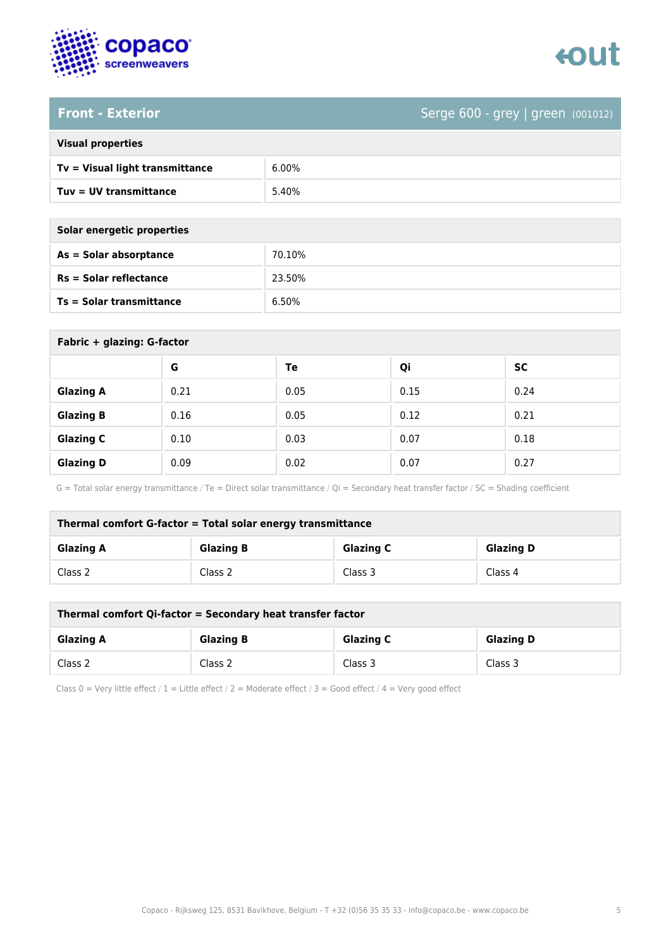

# tout

### **Front - Exterior** Serge 600 - grey | green (001012)

|  | <b>Visual properties</b> |
|--|--------------------------|

| $Tv = V$ isual light transmittance | 6.00% |
|------------------------------------|-------|
| $Tuv = UV$ transmittance           | 5.40% |

| Solar energetic properties      |        |  |
|---------------------------------|--------|--|
| As = Solar absorptance          | 70.10% |  |
| $Rs = Solar$ reflectance        | 23.50% |  |
| <b>Ts = Solar transmittance</b> | 6.50%  |  |

| Fabric + glazing: G-factor |      |      |      |           |  |
|----------------------------|------|------|------|-----------|--|
|                            | G    | Te   | Qi   | <b>SC</b> |  |
| <b>Glazing A</b>           | 0.21 | 0.05 | 0.15 | 0.24      |  |
| <b>Glazing B</b>           | 0.16 | 0.05 | 0.12 | 0.21      |  |
| <b>Glazing C</b>           | 0.10 | 0.03 | 0.07 | 0.18      |  |
| <b>Glazing D</b>           | 0.09 | 0.02 | 0.07 | 0.27      |  |

G = Total solar energy transmittance / Te = Direct solar transmittance / Qi = Secondary heat transfer factor / SC = Shading coefficient

| Thermal comfort G-factor = Total solar energy transmittance                  |         |         |         |  |
|------------------------------------------------------------------------------|---------|---------|---------|--|
| <b>Glazing C</b><br><b>Glazing B</b><br><b>Glazing D</b><br><b>Glazing A</b> |         |         |         |  |
| Class 2                                                                      | Class 2 | Class 3 | Class 4 |  |

| Thermal comfort Qi-factor = Secondary heat transfer factor                   |         |         |         |  |
|------------------------------------------------------------------------------|---------|---------|---------|--|
| <b>Glazing B</b><br><b>Glazing C</b><br><b>Glazing D</b><br><b>Glazing A</b> |         |         |         |  |
| Class 2                                                                      | Class 2 | Class 3 | Class 3 |  |